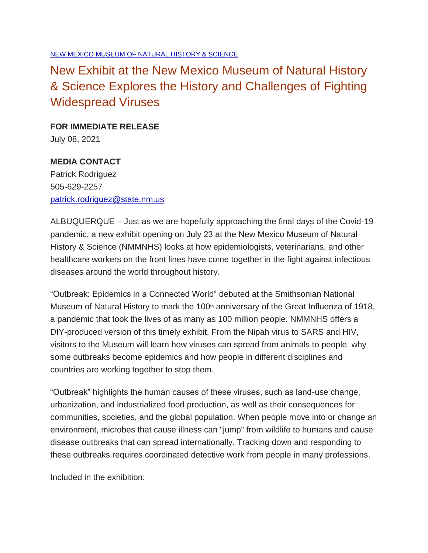## New Exhibit at the New Mexico Museum of Natural History & Science Explores the History and Challenges of Fighting Widespread Viruses

**FOR IMMEDIATE RELEASE** July 08, 2021

**MEDIA CONTACT** Patrick Rodriguez 505-629-2257 [patrick.rodriguez@state.nm.us](mailto:patrick.rodriguez@state.nm.us)

ALBUQUERQUE – Just as we are hopefully approaching the final days of the Covid-19 pandemic, a new exhibit opening on July 23 at the New Mexico Museum of Natural History & Science (NMMNHS) looks at how epidemiologists, veterinarians, and other healthcare workers on the front lines have come together in the fight against infectious diseases around the world throughout history.

"Outbreak: Epidemics in a Connected World" debuted at the Smithsonian National Museum of Natural History to mark the 100<sup>th</sup> anniversary of the Great Influenza of 1918, a pandemic that took the lives of as many as 100 million people. NMMNHS offers a DIY-produced version of this timely exhibit. From the Nipah virus to SARS and HIV, visitors to the Museum will learn how viruses can spread from animals to people, why some outbreaks become epidemics and how people in different disciplines and countries are working together to stop them.

"Outbreak" highlights the human causes of these viruses, such as land-use change, urbanization, and industrialized food production, as well as their consequences for communities, societies, and the global population. When people move into or change an environment, microbes that cause illness can "jump" from wildlife to humans and cause disease outbreaks that can spread internationally. Tracking down and responding to these outbreaks requires coordinated detective work from people in many professions.

Included in the exhibition: